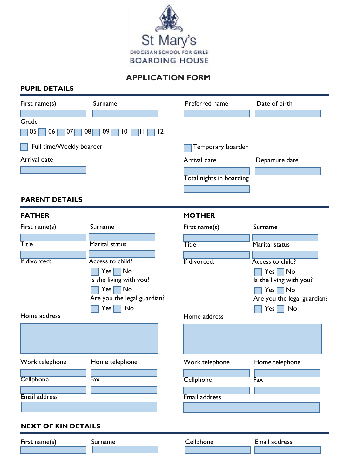

## **APPLICATION FORM**

## **PUPIL DETAILS**

| First name(s)              | Surname                                                                                                                                                  | Preferred name | Date of birth                                                                                                                                    |  |  |  |  |  |
|----------------------------|----------------------------------------------------------------------------------------------------------------------------------------------------------|----------------|--------------------------------------------------------------------------------------------------------------------------------------------------|--|--|--|--|--|
| Grade<br>05<br>06<br> 07   | 08 <br> 2<br>09<br>$\overline{10}$                                                                                                                       |                |                                                                                                                                                  |  |  |  |  |  |
| Full time/Weekly boarder   |                                                                                                                                                          |                | Temporary boarder                                                                                                                                |  |  |  |  |  |
| Arrival date               |                                                                                                                                                          | Arrival date   | Departure date                                                                                                                                   |  |  |  |  |  |
|                            |                                                                                                                                                          |                | Total nights in boarding                                                                                                                         |  |  |  |  |  |
| <b>PARENT DETAILS</b>      |                                                                                                                                                          |                |                                                                                                                                                  |  |  |  |  |  |
| <b>FATHER</b>              |                                                                                                                                                          | <b>MOTHER</b>  |                                                                                                                                                  |  |  |  |  |  |
| First name(s)              | Surname                                                                                                                                                  | First name(s)  | Surname                                                                                                                                          |  |  |  |  |  |
| <b>Title</b>               | Marital status                                                                                                                                           | <b>Title</b>   | <b>Marital status</b>                                                                                                                            |  |  |  |  |  |
| If divorced:               | Access to child?<br>$\Box$ No<br>$Yes \lceil$<br>Is she living with you?<br>$Yes \nightharpoonup No$<br>Are you the legal guardian?<br>No<br>$Yes \vert$ | If divorced:   | Access to child?<br>$Yes \blacksquare No$<br>Is she living with you?<br>$Yes \nightharpoonup No$<br>Are you the legal guardian?<br>$Yes \mid No$ |  |  |  |  |  |
| Home address               |                                                                                                                                                          | Home address   |                                                                                                                                                  |  |  |  |  |  |
| Work telephone             | Home telephone                                                                                                                                           | Work telephone | Home telephone                                                                                                                                   |  |  |  |  |  |
| Cellphone                  | Fax                                                                                                                                                      | Cellphone      | Fax                                                                                                                                              |  |  |  |  |  |
| Email address              |                                                                                                                                                          | Email address  |                                                                                                                                                  |  |  |  |  |  |
| <b>NEXT OF KIN DETAILS</b> |                                                                                                                                                          |                |                                                                                                                                                  |  |  |  |  |  |
| First name(s)              | Surname                                                                                                                                                  | Cellphone      | Email address                                                                                                                                    |  |  |  |  |  |